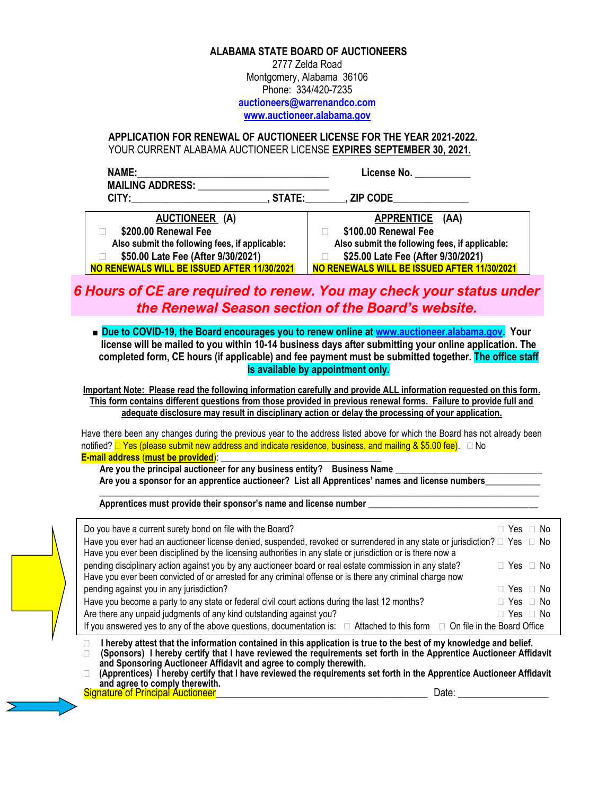### **ALABAMA STATE BOARD OF AUCTIONEERS**

2777 Zelda Road Montgomery, Alabama 36106 Phone: 334/420-7235 **[auctioneers@warrenandco.com](mailto:auctioneers@warrenandco.com) [www.auctioneer.alabama.gov](http://www.auctioneer-alabama.com/)**

## **APPLICATION FOR RENEWAL OF AUCTIONEER LICENSE FOR THE YEAR 2021-2022.** YOUR CURRENT ALABAMA AUCTIONEER LICENSE **EXPIRES SEPTEMBER 30, 2021.**

| NAME:<br><b>MAILING ADDRESS:</b>               | <b>License No. Example 2</b>                   |
|------------------------------------------------|------------------------------------------------|
| CITY:<br>STATE:                                | <b>ZIP CODE</b>                                |
| AUCTIONEER (A)                                 | <b>APPRENTICE</b><br>(AA)                      |
| \$200.00 Renewal Fee                           | \$100.00 Renewal Fee                           |
| Also submit the following fees, if applicable: | Also submit the following fees, if applicable: |
| \$50.00 Late Fee (After 9/30/2021)             | \$25.00 Late Fee (After 9/30/2021)             |
| NO RENEWALS WILL BE ISSUED AFTER 11/30/2021    | NO RENEWALS WILL BE ISSUED AFTER 11/30/2021    |

# *6 Hours of CE are required to renew. You may check your status under the Renewal Season section of the Board's website.*

■ **Due to COVID-19, the Board encourages you to renew online at [www.auctioneer.alabama.gov.](http://www.auctioneer.alabama.gov/) Your license will be mailed to you within 10-14 business days after submitting your online application. The completed form, CE hours (if applicable) and fee payment must be submitted together. The office staff is available by appointment only.**

**Important Note: Please read the following information carefully and provide ALL information requested on this form. This form contains different questions from those provided in previous renewal forms. Failure to provide full and adequate disclosure may result in disciplinary action or delay the processing of your application.**

Have there been any changes during the previous year to the address listed above for which the Board has not already been notified?  $\Box$  Yes (please submit new address and indicate residence, business, and mailing & \$5.00 fee).  $\Box$  No **E-mail address** (**must be provided**): \_\_\_\_\_\_\_\_\_\_\_\_\_\_\_\_\_\_\_\_\_\_\_\_\_\_\_\_\_\_\_\_\_\_\_

Are you the principal auctioneer for any business entity? Business Name **Are you a sponsor for an apprentice auctioneer? List all Apprentices' names and license numbers\_\_\_\_\_\_\_\_\_\_\_\_ \_\_\_\_\_\_\_\_\_\_\_\_\_\_\_\_\_\_\_\_\_\_\_\_\_\_\_\_\_\_\_\_\_\_\_\_\_\_\_\_\_\_\_\_\_\_\_\_\_\_\_\_\_\_\_\_\_\_\_\_\_\_\_\_\_\_\_\_\_\_\_\_\_\_\_\_\_\_\_\_\_\_\_\_\_\_\_\_\_\_\_\_\_\_\_\_**

**Apprentices must provide their sponsor's name and license number \_\_\_\_\_\_\_\_\_\_\_\_\_\_\_\_\_\_\_\_\_\_\_\_\_\_\_\_\_\_\_\_\_\_\_\_\_**

| Do you have a current surety bond on file with the Board?                                                                                                                                                                                | Yes □ No             |
|------------------------------------------------------------------------------------------------------------------------------------------------------------------------------------------------------------------------------------------|----------------------|
| Have you ever had an auctioneer license denied, suspended, revoked or surrendered in any state or jurisdiction? □ Yes □ No<br>Have you ever been disciplined by the licensing authorities in any state or jurisdiction or is there now a |                      |
|                                                                                                                                                                                                                                          |                      |
| pending disciplinary action against you by any auctioneer board or real estate commission in any state?                                                                                                                                  | $\Box$ Yes $\Box$ No |
| Have you ever been convicted of or arrested for any criminal offense or is there any criminal charge now                                                                                                                                 |                      |
| pending against you in any jurisdiction?                                                                                                                                                                                                 | $\Box$ Yes $\Box$ No |
| Have you become a party to any state or federal civil court actions during the last 12 months?                                                                                                                                           | $\Box$ Yes $\Box$ No |
| Are there any unpaid judgments of any kind outstanding against you?                                                                                                                                                                      | $\Box$ Yes $\Box$ No |
| If you answered yes to any of the above questions, documentation is: $\Box$ Attached to this form $\Box$ On file in the Board Office                                                                                                     |                      |

 **I hereby attest that the information contained in this application is true to the best of my knowledge and belief. (Sponsors) I hereby certify that I have reviewed the requirements set forth in the Apprentice Auctioneer Affidavit and Sponsoring Auctioneer Affidavit and agree to comply therewith.**

 **(Apprentices) I hereby certify that I have reviewed the requirements set forth in the Apprentice Auctioneer Affidavit and agree to comply therewith. Signature of Principal Auctioneer** *Company Company Company Company Company Company Company Company Company Company Company Company Company Company Company* **Compa**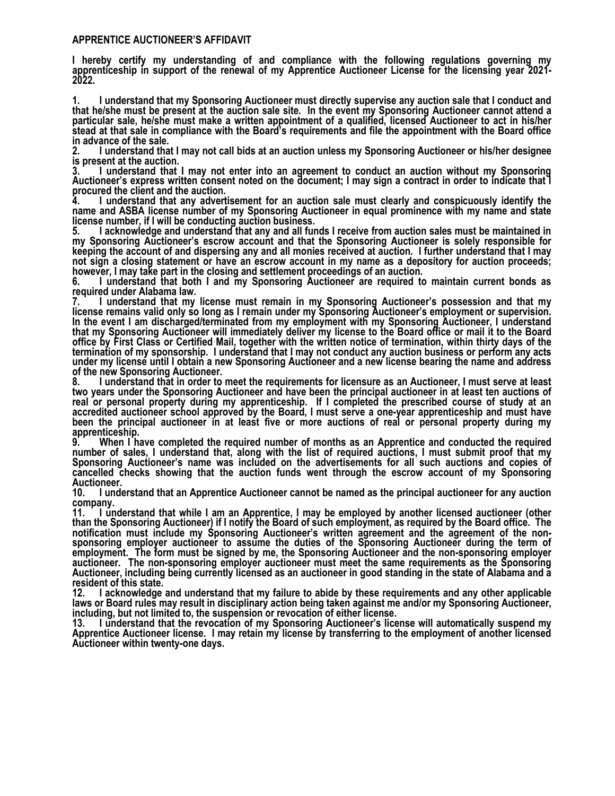#### **APPRENTICE AUCTIONEER'S AFFIDAVIT**

**I hereby certify my understanding of and compliance with the following regulations governing my apprenticeship in support of the renewal of my Apprentice Auctioneer License for the licensing year 2021- 2022.**

**1. I understand that my Sponsoring Auctioneer must directly supervise any auction sale that I conduct and that he/she must be present at the auction sale site. In the event my Sponsoring Auctioneer cannot attend a particular sale, he/she must make a written appointment of a qualified, licensed Auctioneer to act in his/her stead at that sale in compliance with the Board's requirements and file the appointment with the Board office in advance of the sale.**

**2. I understand that I may not call bids at an auction unless my Sponsoring Auctioneer or his/her designee is present at the auction.** 

**3. I understand that I may not enter into an agreement to conduct an auction without my Sponsoring Auctioneer's express written consent noted on the document; I may sign a contract in order to indicate that I procured the client and the auction.** 

**4. I understand that any advertisement for an auction sale must clearly and conspicuously identify the name and ASBA license number of my Sponsoring Auctioneer in equal prominence with my name and state license number, if I will be conducting auction business.** 

**5. I acknowledge and understand that any and all funds I receive from auction sales must be maintained in my Sponsoring Auctioneer's escrow account and that the Sponsoring Auctioneer is solely responsible for keeping the account of and dispersing any and all monies received at auction. I further understand that I may not sign a closing statement or have an escrow account in my name as a depository for auction proceeds; however, I may take part in the closing and settlement proceedings of an auction.** 

**6. I understand that both I and my Sponsoring Auctioneer are required to maintain current bonds as required under Alabama law.**

**7. I understand that my license must remain in my Sponsoring Auctioneer's possession and that my license remains valid only so long as I remain under my Sponsoring Auctioneer's employment or supervision. In the event I am discharged/terminated from my employment with my Sponsoring Auctioneer, I understand that my Sponsoring Auctioneer will immediately deliver my license to the Board office or mail it to the Board office by First Class or Certified Mail, together with the written notice of termination, within thirty days of the termination of my sponsorship. I understand that I may not conduct any auction business or perform any acts under my license until I obtain a new Sponsoring Auctioneer and a new license bearing the name and address of the new Sponsoring Auctioneer.** 

**8. I understand that in order to meet the requirements for licensure as an Auctioneer, I must serve at least two years under the Sponsoring Auctioneer and have been the principal auctioneer in at least ten auctions of real or personal property during my apprenticeship. If I completed the prescribed course of study at an accredited auctioneer school approved by the Board, I must serve a one-year apprenticeship and must have been the principal auctioneer in at least five or more auctions of real or personal property during my apprenticeship.** 

**9. When I have completed the required number of months as an Apprentice and conducted the required number of sales, I understand that, along with the list of required auctions, I must submit proof that my Sponsoring Auctioneer's name was included on the advertisements for all such auctions and copies of cancelled checks showing that the auction funds went through the escrow account of my Sponsoring** 

**Auctioneer. 10. I understand that an Apprentice Auctioneer cannot be named as the principal auctioneer for any auction** 

**company. 11. I understand that while I am an Apprentice, I may be employed by another licensed auctioneer (other than the Sponsoring Auctioneer) if I notify the Board of such employment, as required by the Board office. The notification must include my Sponsoring Auctioneer's written agreement and the agreement of the nonsponsoring employer auctioneer to assume the duties of the Sponsoring Auctioneer during the term of employment. The form must be signed by me, the Sponsoring Auctioneer and the non-sponsoring employer auctioneer. The non-sponsoring employer auctioneer must meet the same requirements as the Sponsoring Auctioneer, including being currently licensed as an auctioneer in good standing in the state of Alabama and a** 

**resident of this state. 12. I acknowledge and understand that my failure to abide by these requirements and any other applicable laws or Board rules may result in disciplinary action being taken against me and/or my Sponsoring Auctioneer, including, but not limited to, the suspension or revocation of either license.**

**13. I understand that the revocation of my Sponsoring Auctioneer's license will automatically suspend my Apprentice Auctioneer license. I may retain my license by transferring to the employment of another licensed Auctioneer within twenty-one days.**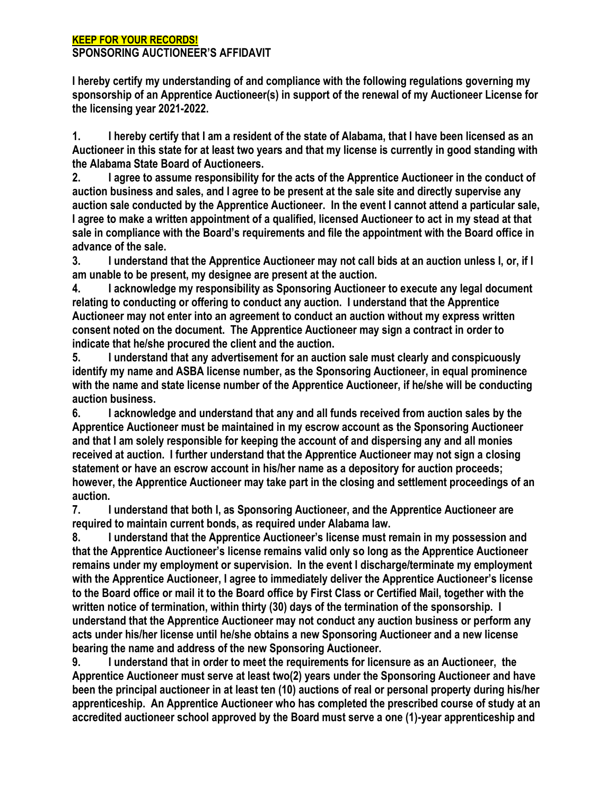## **KEEP FOR YOUR RECORDS! SPONSORING AUCTIONEER'S AFFIDAVIT**

**I hereby certify my understanding of and compliance with the following regulations governing my sponsorship of an Apprentice Auctioneer(s) in support of the renewal of my Auctioneer License for the licensing year 2021-2022.**

**1. I hereby certify that I am a resident of the state of Alabama, that I have been licensed as an Auctioneer in this state for at least two years and that my license is currently in good standing with the Alabama State Board of Auctioneers.**

**2. I agree to assume responsibility for the acts of the Apprentice Auctioneer in the conduct of auction business and sales, and I agree to be present at the sale site and directly supervise any auction sale conducted by the Apprentice Auctioneer. In the event I cannot attend a particular sale, I agree to make a written appointment of a qualified, licensed Auctioneer to act in my stead at that sale in compliance with the Board's requirements and file the appointment with the Board office in advance of the sale.**

**3. I understand that the Apprentice Auctioneer may not call bids at an auction unless I, or, if I am unable to be present, my designee are present at the auction.** 

**4. I acknowledge my responsibility as Sponsoring Auctioneer to execute any legal document relating to conducting or offering to conduct any auction. I understand that the Apprentice Auctioneer may not enter into an agreement to conduct an auction without my express written consent noted on the document. The Apprentice Auctioneer may sign a contract in order to indicate that he/she procured the client and the auction.** 

**5. I understand that any advertisement for an auction sale must clearly and conspicuously identify my name and ASBA license number, as the Sponsoring Auctioneer, in equal prominence with the name and state license number of the Apprentice Auctioneer, if he/she will be conducting auction business.** 

**6. I acknowledge and understand that any and all funds received from auction sales by the Apprentice Auctioneer must be maintained in my escrow account as the Sponsoring Auctioneer and that I am solely responsible for keeping the account of and dispersing any and all monies received at auction. I further understand that the Apprentice Auctioneer may not sign a closing statement or have an escrow account in his/her name as a depository for auction proceeds; however, the Apprentice Auctioneer may take part in the closing and settlement proceedings of an auction.** 

**7. I understand that both I, as Sponsoring Auctioneer, and the Apprentice Auctioneer are required to maintain current bonds, as required under Alabama law.**

**8. I understand that the Apprentice Auctioneer's license must remain in my possession and that the Apprentice Auctioneer's license remains valid only so long as the Apprentice Auctioneer remains under my employment or supervision. In the event I discharge/terminate my employment with the Apprentice Auctioneer, I agree to immediately deliver the Apprentice Auctioneer's license to the Board office or mail it to the Board office by First Class or Certified Mail, together with the written notice of termination, within thirty (30) days of the termination of the sponsorship. I understand that the Apprentice Auctioneer may not conduct any auction business or perform any acts under his/her license until he/she obtains a new Sponsoring Auctioneer and a new license bearing the name and address of the new Sponsoring Auctioneer.** 

**9. I understand that in order to meet the requirements for licensure as an Auctioneer, the Apprentice Auctioneer must serve at least two(2) years under the Sponsoring Auctioneer and have been the principal auctioneer in at least ten (10) auctions of real or personal property during his/her apprenticeship. An Apprentice Auctioneer who has completed the prescribed course of study at an accredited auctioneer school approved by the Board must serve a one (1)-year apprenticeship and**